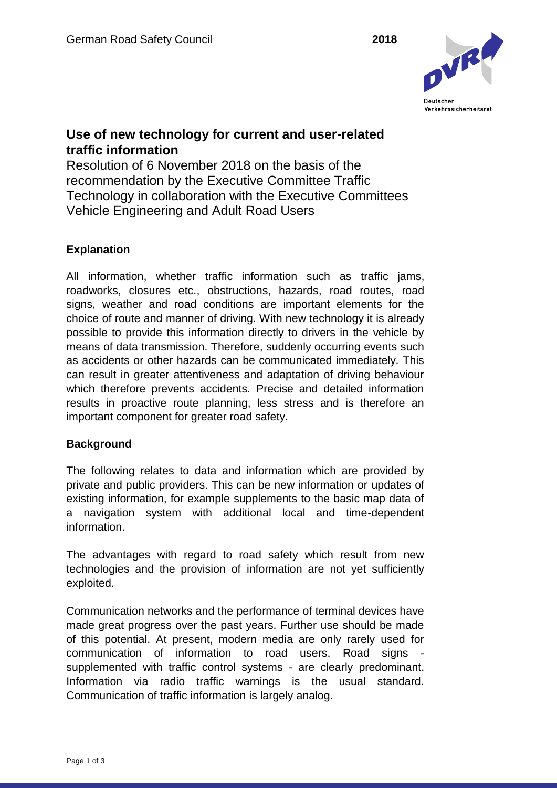

## **Use of new technology for current and user-related traffic information**

Resolution of 6 November 2018 on the basis of the recommendation by the Executive Committee Traffic Technology in collaboration with the Executive Committees Vehicle Engineering and Adult Road Users

## **Explanation**

All information, whether traffic information such as traffic jams, roadworks, closures etc., obstructions, hazards, road routes, road signs, weather and road conditions are important elements for the choice of route and manner of driving. With new technology it is already possible to provide this information directly to drivers in the vehicle by means of data transmission. Therefore, suddenly occurring events such as accidents or other hazards can be communicated immediately. This can result in greater attentiveness and adaptation of driving behaviour which therefore prevents accidents. Precise and detailed information results in proactive route planning, less stress and is therefore an important component for greater road safety.

## **Background**

The following relates to data and information which are provided by private and public providers. This can be new information or updates of existing information, for example supplements to the basic map data of a navigation system with additional local and time-dependent information.

The advantages with regard to road safety which result from new technologies and the provision of information are not yet sufficiently exploited.

Communication networks and the performance of terminal devices have made great progress over the past years. Further use should be made of this potential. At present, modern media are only rarely used for communication of information to road users. Road signs supplemented with traffic control systems - are clearly predominant. Information via radio traffic warnings is the usual standard. Communication of traffic information is largely analog.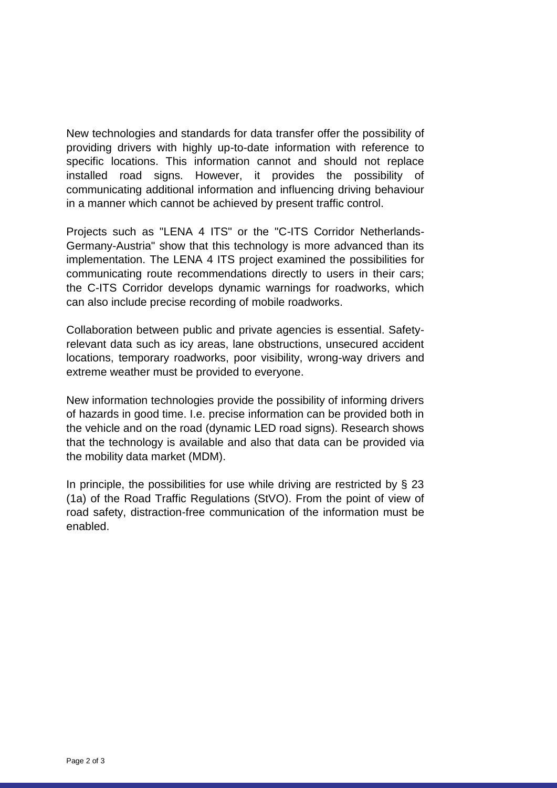New technologies and standards for data transfer offer the possibility of providing drivers with highly up-to-date information with reference to specific locations. This information cannot and should not replace installed road signs. However, it provides the possibility of communicating additional information and influencing driving behaviour in a manner which cannot be achieved by present traffic control.

Projects such as "LENA 4 ITS" or the "C-ITS Corridor Netherlands-Germany-Austria" show that this technology is more advanced than its implementation. The LENA 4 ITS project examined the possibilities for communicating route recommendations directly to users in their cars; the C-ITS Corridor develops dynamic warnings for roadworks, which can also include precise recording of mobile roadworks.

Collaboration between public and private agencies is essential. Safetyrelevant data such as icy areas, lane obstructions, unsecured accident locations, temporary roadworks, poor visibility, wrong-way drivers and extreme weather must be provided to everyone.

New information technologies provide the possibility of informing drivers of hazards in good time. I.e. precise information can be provided both in the vehicle and on the road (dynamic LED road signs). Research shows that the technology is available and also that data can be provided via the mobility data market (MDM).

In principle, the possibilities for use while driving are restricted by  $\S$  23 (1a) of the Road Traffic Regulations (StVO). From the point of view of road safety, distraction-free communication of the information must be enabled.